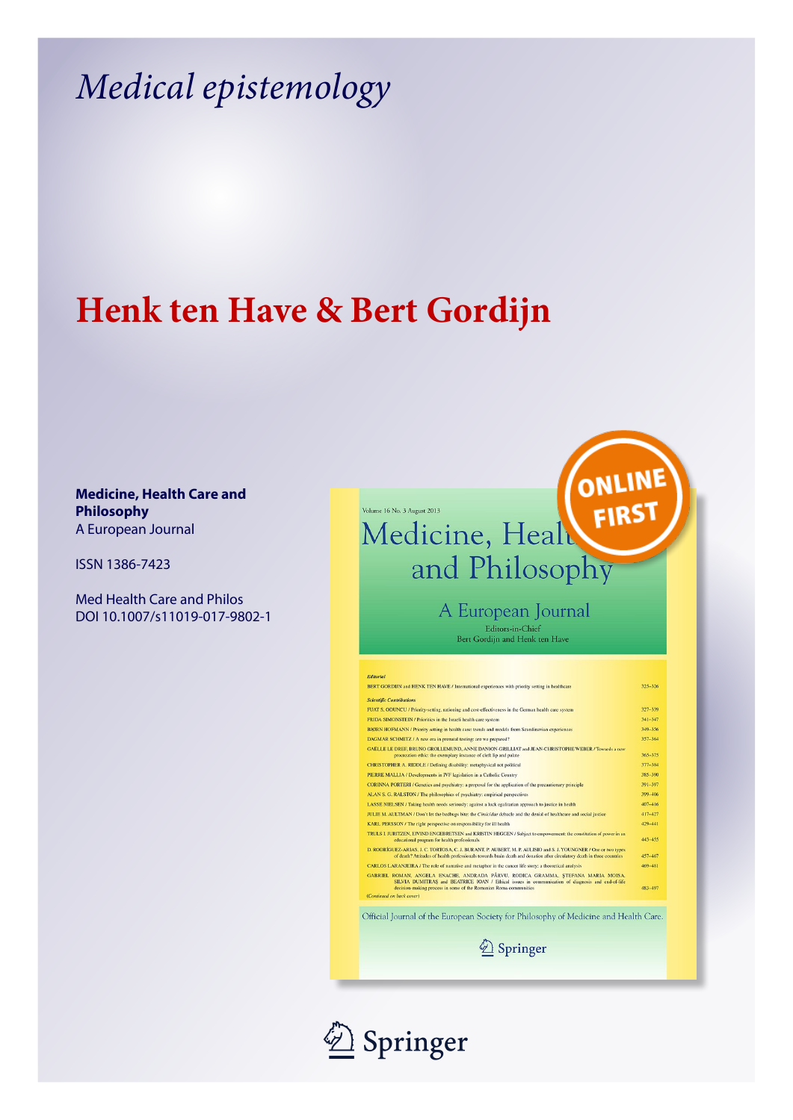# *Medical epistemology*

## **Henk ten Have & Bert Gordijn**

### **Medicine, Health Care and Philosophy** A European Journal

ISSN 1386-7423

Med Health Care and Philos DOI 10.1007/s11019-017-9802-1



A European Journal Editors-in-Chief<br>Bert Gordijn and Henk ten Have

| BERT GORDIJN and HENK TEN HAVE / International experiences with priority setting in healthcare                                                                                                                                                           | 325-326     |
|----------------------------------------------------------------------------------------------------------------------------------------------------------------------------------------------------------------------------------------------------------|-------------|
| <b>Scientific Contributions</b>                                                                                                                                                                                                                          |             |
|                                                                                                                                                                                                                                                          |             |
| FUAT S. ODUNCU / Priority-setting, rationing and cost-effectiveness in the German health care system                                                                                                                                                     | 327-339     |
| FRIDA SIMONSTEIN / Priorities in the Israeli health care system                                                                                                                                                                                          | $341 - 347$ |
| BJØRN HOFMANN / Priority setting in health care: trends and models from Scandinavian experiences                                                                                                                                                         | 349-356     |
| DAGMAR SCHMITZ / A new era in prenatal testing: are we prepared?                                                                                                                                                                                         | 357-364     |
| GAËLLE LE DREE BRUNO GROLLEMUND. ANNE DANION-GRILLIAT and JEAN-CHRISTOPHE WEBER / Towards a new<br>procreation ethic: the exemplary instance of cleft lip and palate                                                                                     | 365-375     |
| <b>CHRISTOPHER A. RIDDLE / Defining disability: metaphysical not political</b>                                                                                                                                                                           | 377-384     |
| PIERRE MALLIA / Developments in IVF legislation in a Catholic Country                                                                                                                                                                                    | 385-390     |
| CORINNA PORTERI / Genetics and psychiatry: a proposal for the application of the precautionary principle                                                                                                                                                 | 391-397     |
| ALAN S. G. RALSTON / The philosophies of psychiatry: empirical perspectives                                                                                                                                                                              | 399-406     |
| LASSE NIELSEN / Taking health needs seriously: against a luck egalitarian approach to justice in health                                                                                                                                                  | 407-416     |
| JULIE M. AULTMAN / Don't let the bedbugs bite: the Cimicidae debacle and the denial of healthcare and social justice                                                                                                                                     | 417-427     |
| KARL PERSSON / The right perspective on responsibility for ill health                                                                                                                                                                                    | 429-441     |
| TRULS I. JURITZEN, EIVIND ENGEBRETSEN and KRISTIN HEGGEN / Subject to empowerment: the constitution of power in an<br>educational program for health professionals                                                                                       | 443-455     |
| D. RODRÍGUEZ-ARIAS, J. C. TORTOSA, C. J. BURANT, P. AUBERT, M. P. AULISIO and S. J. YOUNGNER / One or two types<br>of death? Attitudes of health professionals towards brain death and donation after circulatory death in three countries               | 457-467     |
| CARLOS LARANJEIRA / The role of narrative and metaphor in the cancer life story: a theoretical analysis                                                                                                                                                  | 469-481     |
| GABRIEL ROMAN, ANGELA ENACHE, ANDRADA PÂRVU, RODICA GRAMMA, STEFANA MARIA MOISA,<br>SILVIA DUMITRAS and BEATRICE IOAN / Ethical issues in communication of diagnosis and end-of-life<br>decision-making process in some of the Romanian Roma communities | 483-497     |
| (Continued on back cover)                                                                                                                                                                                                                                |             |

Springer

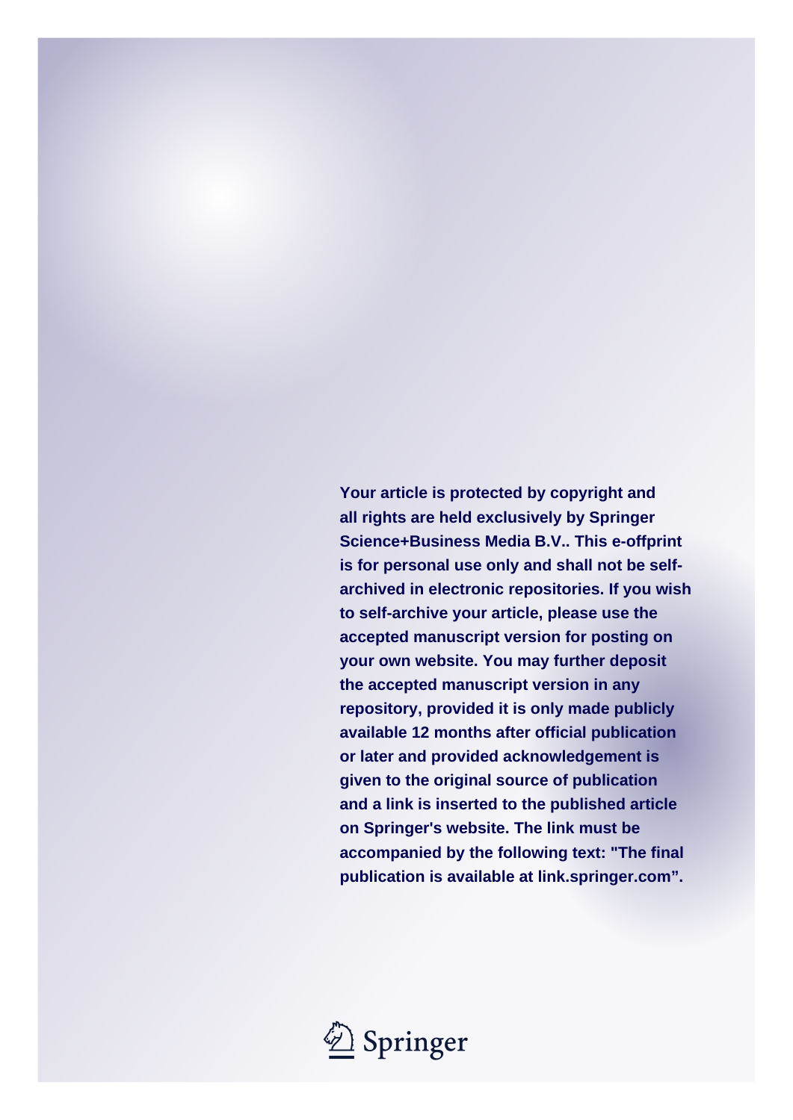**Your article is protected by copyright and all rights are held exclusively by Springer Science+Business Media B.V.. This e-offprint is for personal use only and shall not be selfarchived in electronic repositories. If you wish to self-archive your article, please use the accepted manuscript version for posting on your own website. You may further deposit the accepted manuscript version in any repository, provided it is only made publicly available 12 months after official publication or later and provided acknowledgement is given to the original source of publication and a link is inserted to the published article on Springer's website. The link must be accompanied by the following text: "The final publication is available at link.springer.com".**

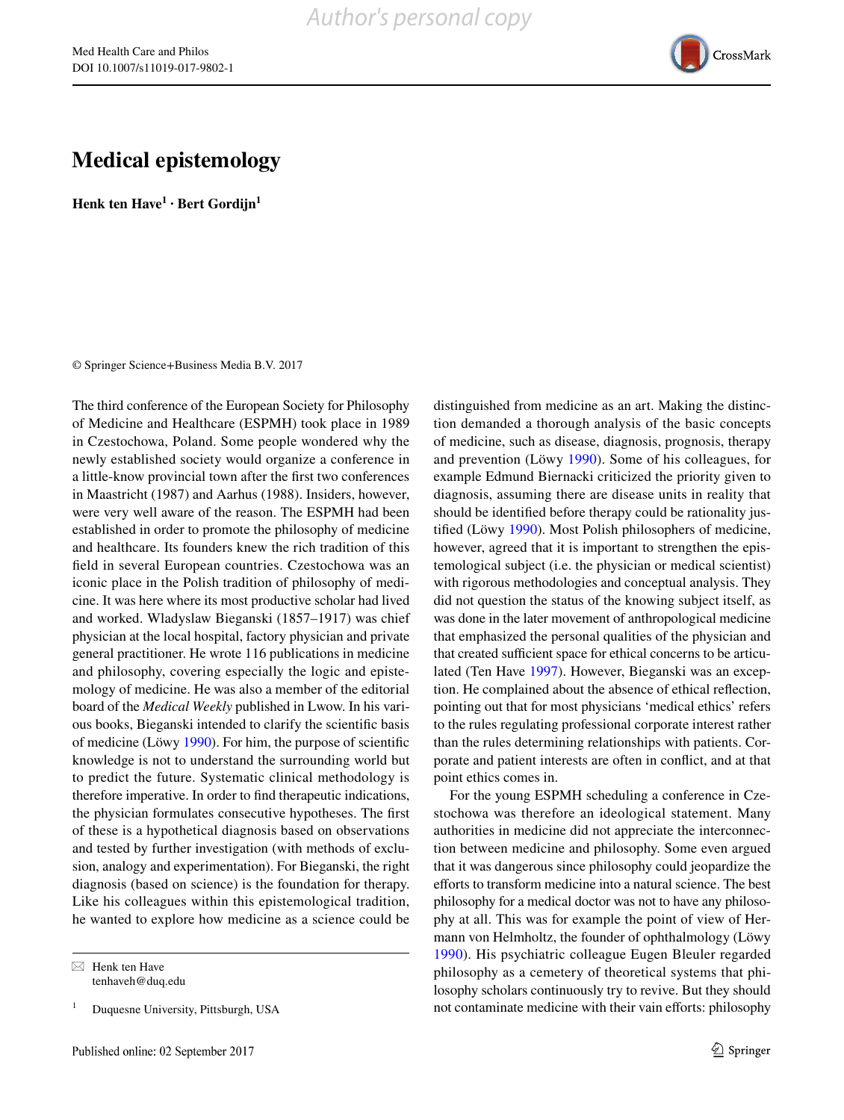

### **Medical epistemology**

**Henk ten Have1 · Bert Gordijn1**

© Springer Science+Business Media B.V. 2017

The third conference of the European Society for Philosophy of Medicine and Healthcare (ESPMH) took place in 1989 in Czestochowa, Poland. Some people wondered why the newly established society would organize a conference in a little-know provincial town after the first two conferences in Maastricht (1987) and Aarhus (1988). Insiders, however, were very well aware of the reason. The ESPMH had been established in order to promote the philosophy of medicine and healthcare. Its founders knew the rich tradition of this field in several European countries. Czestochowa was an iconic place in the Polish tradition of philosophy of medicine. It was here where its most productive scholar had lived and worked. Wladyslaw Bieganski (1857–1917) was chief physician at the local hospital, factory physician and private general practitioner. He wrote 116 publications in medicine and philosophy, covering especially the logic and epistemology of medicine. He was also a member of the editorial board of the *Medical Weekly* published in Lwow. In his various books, Bieganski intended to clarify the scientific basis of medicine (Löwy [1990](#page-3-0)). For him, the purpose of scientific knowledge is not to understand the surrounding world but to predict the future. Systematic clinical methodology is therefore imperative. In order to find therapeutic indications, the physician formulates consecutive hypotheses. The first of these is a hypothetical diagnosis based on observations and tested by further investigation (with methods of exclusion, analogy and experimentation). For Bieganski, the right diagnosis (based on science) is the foundation for therapy. Like his colleagues within this epistemological tradition, he wanted to explore how medicine as a science could be

distinguished from medicine as an art. Making the distinction demanded a thorough analysis of the basic concepts of medicine, such as disease, diagnosis, prognosis, therapy and prevention (Löwy [1990](#page-3-0)). Some of his colleagues, for example Edmund Biernacki criticized the priority given to diagnosis, assuming there are disease units in reality that should be identified before therapy could be rationality justified (Löwy [1990](#page-3-0)). Most Polish philosophers of medicine, however, agreed that it is important to strengthen the epistemological subject (i.e. the physician or medical scientist) with rigorous methodologies and conceptual analysis. They did not question the status of the knowing subject itself, as was done in the later movement of anthropological medicine that emphasized the personal qualities of the physician and that created sufficient space for ethical concerns to be articulated (Ten Have [1997\)](#page-3-1). However, Bieganski was an exception. He complained about the absence of ethical reflection, pointing out that for most physicians 'medical ethics' refers to the rules regulating professional corporate interest rather than the rules determining relationships with patients. Corporate and patient interests are often in conflict, and at that point ethics comes in.

For the young ESPMH scheduling a conference in Czestochowa was therefore an ideological statement. Many authorities in medicine did not appreciate the interconnection between medicine and philosophy. Some even argued that it was dangerous since philosophy could jeopardize the efforts to transform medicine into a natural science. The best philosophy for a medical doctor was not to have any philosophy at all. This was for example the point of view of Hermann von Helmholtz, the founder of ophthalmology (Löwy [1990\)](#page-3-0). His psychiatric colleague Eugen Bleuler regarded philosophy as a cemetery of theoretical systems that philosophy scholars continuously try to revive. But they should not contaminate medicine with their vain efforts: philosophy

 $\boxtimes$  Henk ten Have tenhaveh@duq.edu

<sup>1</sup> Duquesne University, Pittsburgh, USA